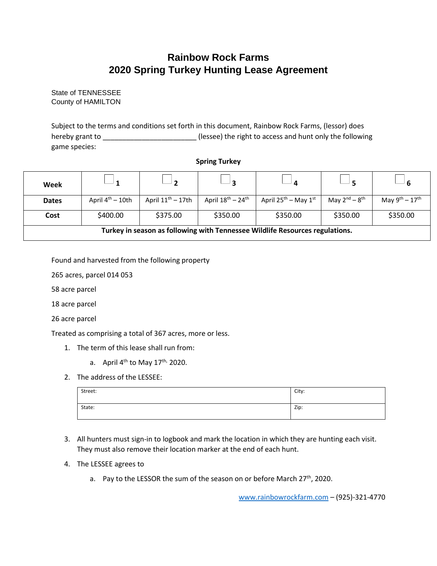## **Rainbow Rock Farms 2020 Spring Turkey Hunting Lease Agreement**

State of TENNESSEE County of HAMILTON

Subject to the terms and conditions set forth in this document, Rainbow Rock Farms, (lessor) does hereby grant to \_\_\_\_\_\_\_\_\_\_\_\_\_\_\_\_\_\_\_\_\_\_\_\_ (lessee) the right to access and hunt only the following game species:

## **Spring Turkey**

| Week                                                                         |                               |                        |                                         |                                  |                       |                                      |  |  |
|------------------------------------------------------------------------------|-------------------------------|------------------------|-----------------------------------------|----------------------------------|-----------------------|--------------------------------------|--|--|
| <b>Dates</b>                                                                 | April $4^{\text{th}} - 10$ th | April $11^{th}$ – 17th | April $18^{\text{th}} - 24^{\text{th}}$ | April 25 <sup>th</sup> – May 1st | May $2^{nd} - 8^{th}$ | May $9^{\text{th}} - 17^{\text{th}}$ |  |  |
| Cost                                                                         | \$400.00                      | \$375.00               | \$350.00                                | \$350.00                         | \$350.00              | \$350.00                             |  |  |
| Turkey in season as following with Tennessee Wildlife Resources regulations. |                               |                        |                                         |                                  |                       |                                      |  |  |

Found and harvested from the following property

265 acres, parcel 014 053

58 acre parcel

18 acre parcel

26 acre parcel

Treated as comprising a total of 367 acres, more or less.

- 1. The term of this lease shall run from:
	- a. April  $4^{\text{th}}$  to May 17<sup>th,</sup> 2020.
- 2. The address of the LESSEE:

| Street: | City: |
|---------|-------|
| State:  | Zip:  |

- 3. All hunters must sign-in to logbook and mark the location in which they are hunting each visit. They must also remove their location marker at the end of each hunt.
- 4. The LESSEE agrees to
	- a. Pay to the LESSOR the sum of the season on or before March 27<sup>th</sup>, 2020.

[www.rainbowrockfarm.com](http://www.rainbowrockfarm.com/) – (925)-321-4770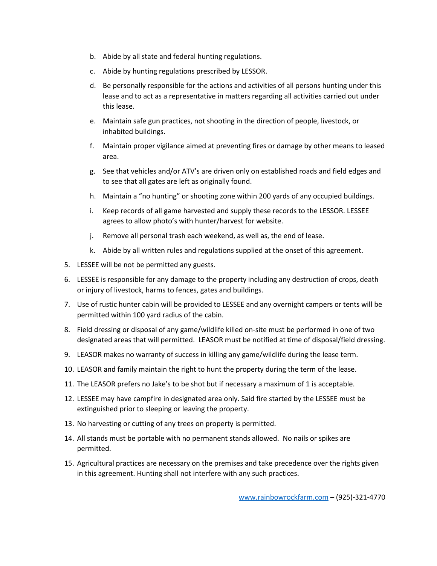- b. Abide by all state and federal hunting regulations.
- c. Abide by hunting regulations prescribed by LESSOR.
- d. Be personally responsible for the actions and activities of all persons hunting under this lease and to act as a representative in matters regarding all activities carried out under this lease.
- e. Maintain safe gun practices, not shooting in the direction of people, livestock, or inhabited buildings.
- f. Maintain proper vigilance aimed at preventing fires or damage by other means to leased area.
- g. See that vehicles and/or ATV's are driven only on established roads and field edges and to see that all gates are left as originally found.
- h. Maintain a "no hunting" or shooting zone within 200 yards of any occupied buildings.
- i. Keep records of all game harvested and supply these records to the LESSOR. LESSEE agrees to allow photo's with hunter/harvest for website.
- j. Remove all personal trash each weekend, as well as, the end of lease.
- k. Abide by all written rules and regulations supplied at the onset of this agreement.
- 5. LESSEE will be not be permitted any guests.
- 6. LESSEE is responsible for any damage to the property including any destruction of crops, death or injury of livestock, harms to fences, gates and buildings.
- 7. Use of rustic hunter cabin will be provided to LESSEE and any overnight campers or tents will be permitted within 100 yard radius of the cabin.
- 8. Field dressing or disposal of any game/wildlife killed on-site must be performed in one of two designated areas that will permitted. LEASOR must be notified at time of disposal/field dressing.
- 9. LEASOR makes no warranty of success in killing any game/wildlife during the lease term.
- 10. LEASOR and family maintain the right to hunt the property during the term of the lease.
- 11. The LEASOR prefers no Jake's to be shot but if necessary a maximum of 1 is acceptable.
- 12. LESSEE may have campfire in designated area only. Said fire started by the LESSEE must be extinguished prior to sleeping or leaving the property.
- 13. No harvesting or cutting of any trees on property is permitted.
- 14. All stands must be portable with no permanent stands allowed. No nails or spikes are permitted.
- 15. Agricultural practices are necessary on the premises and take precedence over the rights given in this agreement. Hunting shall not interfere with any such practices.